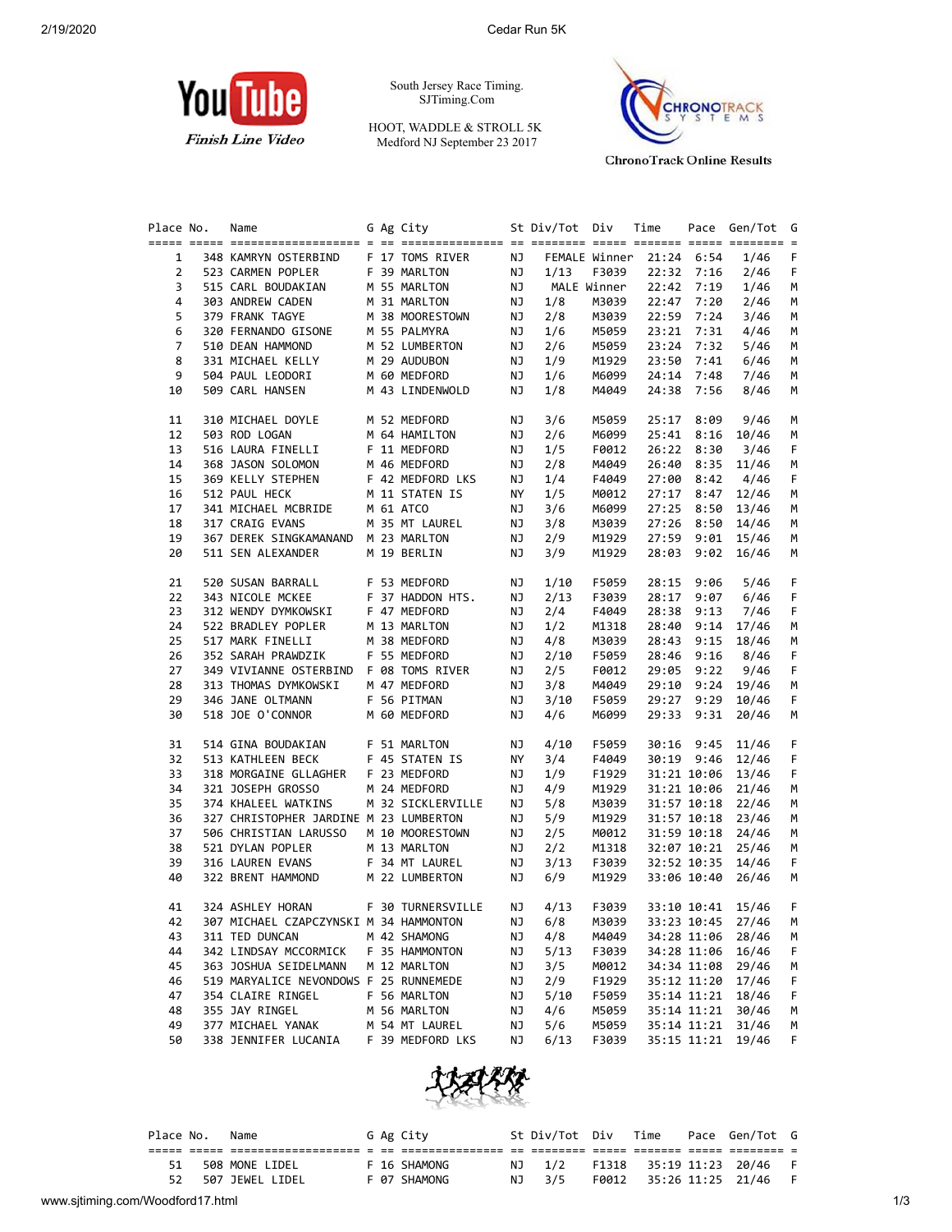

South Jersey Race Timing. SJTiming.Com

HOOT, WADDLE & STROLL 5K Medford NJ September 23 2017



**ChronoTrack Online Results** 

| Place No.      | Name                                                                 |  | G Ag City                                 |    | St Div/Tot Div Time |             |                          |              | Pace Gen/Tot G    |    |
|----------------|----------------------------------------------------------------------|--|-------------------------------------------|----|---------------------|-------------|--------------------------|--------------|-------------------|----|
| $\mathbf{1}$   | 348 KAMRYN OSTERBIND F 17 TOMS RIVER                                 |  |                                           | NJ |                     |             | FEMALE Winner 21:24 6:54 |              | 1/46              | F  |
| $\overline{2}$ | 523 CARMEN POPLER F 39 MARLTON                                       |  |                                           | NJ | 1/13                | F3039       |                          | 22:32 7:16   | 2/46              | F  |
| 3              | 515 CARL BOUDAKIAN                                                   |  |                                           | NJ |                     | MALE Winner |                          | 22:42 7:19   | 1/46              | М  |
| 4              | 303 ANDREW CADEN                                                     |  | M 55 MARLTON<br>M 31 MARLTON              | NJ | 1/8                 |             | M3039 22:47 7:20         |              | 2/46              | М  |
| 5              | 379 FRANK TAGYE                                                      |  |                                           | NJ | 2/8                 | M3039       | 22:59 7:24               |              | 3/46              | м  |
| 6              | 320 FERNANDO GISONE                                                  |  | M 38 MOORESTOWN<br>NE        M 55 PALMYRA | NJ | 1/6                 | M5059       |                          | 23:21 7:31   | 4/46              | М  |
| 7              | 510 DEAN HAMMOND                                                     |  | M 52 LUMBERTON                            | NJ | 2/6                 | M5059       |                          | 23:24 7:32   | 5/46              | м  |
| 8              | 331 MICHAEL KELLY                                                    |  | M 29 AUDUBON                              | NJ | 1/9                 | M1929       |                          | 23:50 7:41   | 6/46              | м  |
| 9              | 504 PAUL LEODORI                                                     |  | M 60 MEDFORD                              | NJ | 1/6                 | M6099       |                          | $24:14$ 7:48 | 7/46              | М  |
| 10             | 509 CARL HANSEN                                                      |  | M 43 LINDENWOLD                           | NJ | 1/8                 | M4049       | 24:38                    | 7:56         | 8/46              | M  |
|                |                                                                      |  |                                           |    |                     |             |                          |              |                   |    |
| 11             | 310 MICHAEL DOYLE M 52 MEDFORD                                       |  |                                           | ΝJ | 3/6                 | M5059       | 25:17                    | 8:09         | 9/46              | М  |
| 12             | 503 ROD LOGAN                                                        |  | M 64 HAMILTON                             | NJ | 2/6                 | M6099       |                          |              | 25:41 8:16 10/46  | М  |
| 13             | 516 LAURA FINELLI F 11 MEDFORD                                       |  |                                           | NJ | 1/5                 | F0012       |                          | 26:22 8:30   | 3/46              | F  |
| 14             | 368 JASON SOLOMON M 46 MEDFORD<br>369 KELLY STEPHEN F 42 MEDFORD LKS |  |                                           | NJ | 2/8                 | M4049       | 26:40                    |              | $8:35$ 11/46      | М  |
| 15             |                                                                      |  |                                           | NJ | 1/4                 | F4049       | 27:00                    | 8:42         | 4/46              | F  |
| 16             | 512 PAUL HECK M 11 STATEN IS<br>341 MICHAEL MCBRIDE M 61 ATCO        |  |                                           | NY | 1/5                 | M0012       | 27:17                    |              | $8:47$ 12/46      | М  |
| 17             |                                                                      |  |                                           | NJ | 3/6                 | M6099       | 27:25                    |              | $8:50$ 13/46      | М  |
| 18             | 317 CRAIG EVANS                                                      |  | M 35 MT LAUREL                            | NJ | 3/8                 | M3039       | 27:26                    |              | $8:50$ 14/46      | м  |
| 19             | 367 DEREK SINGKAMANAND M 23 MARLTON                                  |  |                                           | NJ | 2/9                 | M1929       |                          |              | 27:59 9:01 15/46  | м  |
| 20             | 511 SEN ALEXANDER                                                    |  | M 19 BERLIN                               | NJ | 3/9                 | M1929       | 28:03                    |              | $9:02$ 16/46      | М  |
| 21             | 520 SUSAN BARRALL F 53 MEDFORD                                       |  |                                           | NJ | 1/10                | F5059       | 28:15                    | 9:06         | 5/46              | F  |
| 22             | 343 NICOLE MCKEE                                                     |  | F 37 HADDON HTS.                          | NJ | 2/13                | F3039       | 28:17                    | 9:07         | 6/46              | F  |
| 23             | 312 WENDY DYMKOWSKI                                                  |  | F 47 MEDFORD                              | NJ | 2/4                 | F4049       | 28:38                    | 9:13         | 7/46              | F  |
| 24             | 522 BRADLEY POPLER                                                   |  | M 13 MARLTON                              | NJ | 1/2                 | M1318       | 28:40                    |              | $9:14$ 17/46      | м  |
| 25             | 517 MARK FINELLI                                                     |  |                                           | NJ | 4/8                 | M3039       | 28:43                    |              | $9:15$ 18/46      | М  |
| 26             | 352 SARAH PRAWDZIK                                                   |  | M 38 MEDFORD<br>F 55 MEDFORD              | NJ | 2/10                | F5059       | 28:46                    | 9:16         | 8/46              | F  |
| 27             | 349 VIVIANNE OSTERBIND F 08 TOMS RIVER                               |  |                                           | NJ | 2/5                 | F0012       | 29:05                    | 9:22         | 9/46              | F  |
| 28             | 313 THOMAS DYMKOWSKI M 47 MEDFORD                                    |  |                                           | NJ | 3/8                 | M4049       | 29:10                    |              | $9:24$ 19/46      | М  |
| 29             | 346 JANE OLTMANN F 56 PITMAN                                         |  |                                           | NJ | 3/10                | F5059       | 29:27                    | 9:29         | 10/46             | F  |
| 30             | 518 JOE O'CONNOR                                                     |  | M 60 MEDFORD                              | NJ | 4/6                 | M6099       | 29:33                    | 9:31         | 20/46             | М  |
| 31             | 514 GINA BOUDAKIAN                                                   |  | F 51 MARLTON                              | NJ | 4/10                | F5059       | 30:16                    |              | 9:45 11/46        | F  |
| 32             | 513 KATHLEEN BECK                                                    |  | F 45 STATEN IS                            | NY | 3/4                 | F4049       |                          |              | 30:19 9:46 12/46  | F  |
| 33             | 318 MORGAINE GLLAGHER F 23 MEDFORD                                   |  |                                           | NJ | 1/9                 | F1929       |                          |              | 31:21 10:06 13/46 | F  |
| 34             | 321 JOSEPH GROSSO                                                    |  | M 24 MEDFORD                              | NJ | 4/9                 | M1929       |                          |              | 31:21 10:06 21/46 | М  |
| 35             | 374 KHALEEL WATKINS                                                  |  | M 32 SICKLERVILLE                         | NJ | 5/8                 | M3039       |                          |              | 31:57 10:18 22/46 | м  |
| 36             | 327 CHRISTOPHER JARDINE M 23 LUMBERTON                               |  |                                           | NJ | 5/9                 | M1929       |                          |              | 31:57 10:18 23/46 | М  |
| 37             | 506 CHRISTIAN LARUSSO M 10 MOORESTOWN                                |  |                                           | NJ | 2/5                 | M0012       |                          |              | 31:59 10:18 24/46 | м  |
| 38             |                                                                      |  |                                           | NJ | 2/2                 | M1318       |                          |              | 32:07 10:21 25/46 | м  |
| 39             | 521 DYLAN POPLER M 13 MARLTON<br>316 LAUREN EVANS                    |  | F 34 MT LAUREL                            | NJ | 3/13                | F3039       |                          |              | 32:52 10:35 14/46 | F. |
| 40             | 322 BRENT HAMMOND                                                    |  | M 22 LUMBERTON                            | NJ | 6/9                 | M1929       |                          |              | 33:06 10:40 26/46 | м  |
|                |                                                                      |  |                                           |    |                     |             |                          |              |                   |    |
| 41             | 324 ASHLEY HORAN                                                     |  | F 30 TURNERSVILLE NJ 4/13                 |    |                     | F3039       |                          |              | 33:10 10:41 15/46 | F. |
| 42             | 307 MICHAEL CZAPCZYNSKI M 34 HAMMONTON                               |  |                                           | ΝJ | 6/8                 | M3039       |                          |              | 33:23 10:45 27/46 | M  |
| 43             | 311 TED DUNCAN                                                       |  | M 42 SHAMONG                              | NJ | 4/8                 | M4049       |                          |              | 34:28 11:06 28/46 | M  |
| 44             | 342 LINDSAY MCCORMICK                                                |  | F 35 HAMMONTON                            | ΝJ | 5/13                | F3039       |                          |              | 34:28 11:06 16/46 | F  |
| 45             | 363 JOSHUA SEIDELMANN                                                |  | M 12 MARLTON                              | ΝJ | 3/5                 | M0012       |                          |              | 34:34 11:08 29/46 | M  |
| 46             | 519 MARYALICE NEVONDOWS F 25 RUNNEMEDE                               |  |                                           | ΝJ | 2/9                 | F1929       |                          |              | 35:12 11:20 17/46 | F  |
| 47             | 354 CLAIRE RINGEL                                                    |  | F 56 MARLTON                              | ΝJ | 5/10                | F5059       |                          |              | 35:14 11:21 18/46 | F  |
| 48             | 355 JAY RINGEL                                                       |  | M 56 MARLTON                              | ΝJ | 4/6                 | M5059       |                          |              | 35:14 11:21 30/46 | M  |
| 49             | 377 MICHAEL YANAK                                                    |  | M 54 MT LAUREL                            | ΝJ | 5/6                 | M5059       |                          |              | 35:14 11:21 31/46 | M  |
| 50             | 338 JENNIFER LUCANIA F 39 MEDFORD LKS                                |  |                                           | ΝJ | 6/13                | F3039       |                          |              | 35:15 11:21 19/46 | F. |



| Place No. | Name               |  | G Ag City    |        |  | St Div/Tot Div Time Pace Gen/Tot G |  |
|-----------|--------------------|--|--------------|--------|--|------------------------------------|--|
|           |                    |  |              |        |  |                                    |  |
|           | 51 508 MONE LIDEL  |  | F 16 SHAMONG | NJ 1/2 |  | F1318 35:19 11:23 20/46            |  |
|           | 52 507 JEWEL LIDEL |  | F 07 SHAMONG | NJ 3/5 |  | F0012 35:26 11:25 21/46 F          |  |
|           |                    |  |              |        |  |                                    |  |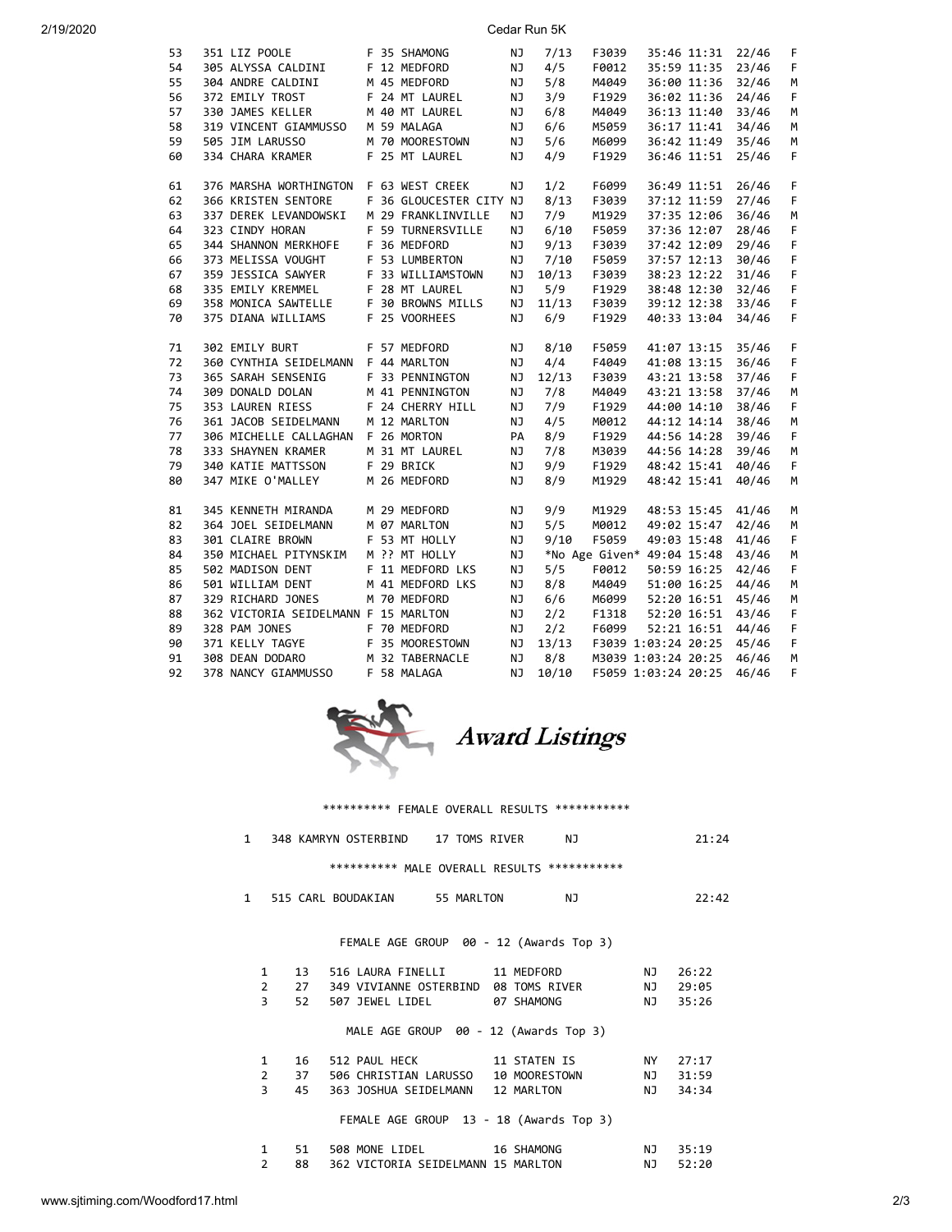| 2/19/2020 |  |  |  |
|-----------|--|--|--|

20<br>20 Cedar Run 5K

| 53 | 351 LIZ POOLE                                                                                                                         | F 35 SHAMONG            | ΝJ        | 7/13  | F3039                            | 35:46 11:31 22/46 |       | F  |
|----|---------------------------------------------------------------------------------------------------------------------------------------|-------------------------|-----------|-------|----------------------------------|-------------------|-------|----|
| 54 | 305 ALYSSA CALDINI                                                                                                                    | F 12 MEDFORD            | NJ        | 4/5   | F0012                            | 35:59 11:35 23/46 |       | F  |
| 55 | 304 ANDRE CALDINI                                                                                                                     | M 45 MEDFORD            | NJ        | 5/8   | M4049                            | 36:00 11:36 32/46 |       | М  |
| 56 | 372 EMILY TROST                                                                                                                       | F 24 MT LAUREL          | <b>NJ</b> | 3/9   | F1929                            | 36:02 11:36 24/46 |       | F  |
| 57 | 330 JAMES KELLER<br>319 VINCENT GIAMMUSSO                                                                                             | M 40 MT LAUREL          | NJ        | 6/8   | M4049                            | 36:13 11:40 33/46 |       | M  |
| 58 |                                                                                                                                       | M 59 MALAGA             | NJ        | 6/6   | M5059                            | 36:17 11:41 34/46 |       | М  |
| 59 | 505 JIM LARUSSO                                                                                                                       | M 70 MOORESTOWN         | NJ        | 5/6   | M6099                            | 36:42 11:49 35/46 |       | М  |
| 60 | 334 CHARA KRAMER                                                                                                                      | F 25 MT LAUREL          | NJ        | 4/9   | F1929                            | 36:46 11:51 25/46 |       | F. |
| 61 | 376 MARSHA WORTHINGTON F 63 WEST CREEK                                                                                                |                         | NJ        | 1/2   | F6099                            | 36:49 11:51 26/46 |       | F  |
| 62 | 366 KRISTEN SENTORE                                                                                                                   | F 36 GLOUCESTER CITY NJ |           | 8/13  | F3039                            | 37:12 11:59 27/46 |       | F  |
| 63 | 337 DEREK LEVANDOWSKI                                                                                                                 | M 29 FRANKLINVILLE      | ΝJ        | 7/9   | M1929                            | 37:35 12:06       | 36/46 | М  |
| 64 | 323 CINDY HORAN                                                                                                                       | F 59 TURNERSVILLE       | NJ        | 6/10  | F5059                            | 37:36 12:07 28/46 |       | F  |
| 65 | 344 SHANNON MERKHOFE F 36 MEDFORD                                                                                                     |                         | <b>NJ</b> | 9/13  | F3039                            | 37:42 12:09 29/46 |       | F  |
| 66 | 373 MELISSA VOUGHT F 53 LUMBERTON                                                                                                     |                         | NJ        | 7/10  | F5059                            | 37:57 12:13 30/46 |       | F  |
| 67 |                                                                                                                                       |                         | NJ        | 10/13 | F3039                            | 38:23 12:22 31/46 |       | F  |
| 68 | 359 JESSICA SAWYER F 33 WILLIAMSTOWN<br>335 EMILY KREMMEL F 28 MT LAUREL                                                              |                         | NJ        | 5/9   | F1929                            | 38:48 12:30 32/46 |       | F  |
| 69 | 358 MONICA SAWTELLE F 30 BROWNS MILLS                                                                                                 |                         | <b>NJ</b> | 11/13 | F3039                            | 39:12 12:38 33/46 |       | F  |
| 70 | 375 DIANA WILLIAMS F 25 VOORHEES                                                                                                      |                         | NJ        | 6/9   | F1929                            | 40:33 13:04       | 34/46 | F  |
|    |                                                                                                                                       |                         |           |       |                                  |                   |       |    |
| 71 | 302 EMILY BURT                                                                                                                        | F 57 MEDFORD            | <b>NJ</b> | 8/10  | F5059                            | 41:07 13:15 35/46 |       | F  |
| 72 | 360 CYNTHIA SEIDELMANN F 44 MARLTON                                                                                                   |                         | <b>NJ</b> | 4/4   | F4049                            | 41:08 13:15 36/46 |       | F  |
| 73 | 365 SARAH SENSENIG F 33 PENNINGTON                                                                                                    |                         | NJ        | 12/13 | F3039                            | 43:21 13:58 37/46 |       | F  |
| 74 | 309 DONALD DOLAN                                                                                                                      | M 41 PENNINGTON         | <b>NJ</b> | 7/8   | M4049                            | 43:21 13:58 37/46 |       | M  |
| 75 | 353 LAUREN RIESS                                                                                                                      | F 24 CHERRY HILL        | NJ        | 7/9   | F1929                            | 44:00 14:10 38/46 |       | F  |
| 76 | 361 JACOB SEIDELMANN                                                                                                                  | M 12 MARLTON            | <b>NJ</b> | 4/5   | M0012                            | 44:12 14:14 38/46 |       | M  |
| 77 | 306 MICHELLE CALLAGHAN F 26 MORTON                                                                                                    |                         | PA        | 8/9   | F1929                            | 44:56 14:28 39/46 |       | F  |
| 78 | 333 SHAYNEN KRAMER                                                                                                                    | M 31 MT LAUREL          | <b>NJ</b> | 7/8   | M3039                            | 44:56 14:28 39/46 |       | М  |
| 79 | 340 KATIE MATTSSON F 29 BRICK                                                                                                         |                         | <b>NJ</b> | 9/9   | F1929                            | 48:42 15:41 40/46 |       | F  |
| 80 | 347 MIKE O'MALLEY                                                                                                                     | M 26 MEDFORD            | NJ        | 8/9   | M1929                            | 48:42 15:41 40/46 |       | М  |
| 81 | 345 KENNETH MIRANDA                                                                                                                   | M 29 MEDFORD            | <b>NJ</b> | 9/9   | M1929                            | 48:53 15:45 41/46 |       | М  |
| 82 | 364 JOEL SEIDELMANN                                                                                                                   | M 07 MARLTON            | <b>NJ</b> | 5/5   | M0012                            | 49:02 15:47 42/46 |       | М  |
| 83 | 301 CLAIRE BROWN                                                                                                                      | F 53 MT HOLLY           | NJ        | 9/10  | F5059                            | 49:03 15:48 41/46 |       | F. |
| 84 | 350 MICHAEL PITYNSKIM                                                                                                                 | M ?? MT HOLLY           | NJ        |       | *No Age Given* 49:04 15:48 43/46 |                   |       | M  |
| 85 | 502 MADISON DENT                                                                                                                      | F 11 MEDFORD LKS        | <b>NJ</b> | 5/5   | F0012                            | 50:59 16:25 42/46 |       | F  |
| 86 | 501 WILLIAM DENT                                                                                                                      | M 41 MEDFORD LKS        | ΝJ        | 8/8   | M4049                            | 51:00 16:25 44/46 |       | М  |
| 87 | 329 RICHARD JONES                                                                                                                     | M 70 MEDFORD            | ΝJ        | 6/6   | M6099                            | 52:20 16:51 45/46 |       | М  |
| 88 | 362 VICTORIA SEIDELMANN F 15 MARLTON                                                                                                  |                         | NJ        | 2/2   | F1318                            | 52:20 16:51 43/46 |       | F  |
| 89 | 328 PAM JONES                                                                                                                         | F 70 MEDFORD            | NJ        | 2/2   | F6099                            | 52:21 16:51 44/46 |       | F  |
| 90 |                                                                                                                                       |                         | <b>NJ</b> | 13/13 | F3039 1:03:24 20:25 45/46        |                   |       | F  |
| 91 |                                                                                                                                       |                         | <b>NJ</b> | 8/8   | M3039 1:03:24 20:25 46/46        |                   |       | M  |
| 92 | 371 KELLY TAGYE                 F 35 MOORESTOWN<br>308 DEAN DODARO           M 32 TABERNACLE<br>378 NANCY GIAMMUSSO       F 58 MALAGA |                         | NJ        | 10/10 |                                  |                   | 46/46 | F  |
|    |                                                                                                                                       |                         |           |       | F5059 1:03:24 20:25              |                   |       |    |



## \*\*\*\*\*\*\*\*\*\*\* FEMALE OVERALL RESULTS \*\*\*\*\*\*\*\*\*\*\*\*

| 1            |                |    | 348 KAMRYN OSTERBIND 17 TOMS RIVER |                                             | NJ  |       | 21:24 |
|--------------|----------------|----|------------------------------------|---------------------------------------------|-----|-------|-------|
|              |                |    |                                    | ********** MALE OVERALL RESULTS *********** |     |       |       |
| $\mathbf{1}$ |                |    | 515 CARL BOUDAKIAN 55 MARLTON      |                                             | NJ. |       | 22:42 |
|              |                |    |                                    | FEMALE AGE GROUP 00 - 12 (Awards Top 3)     |     |       |       |
|              |                |    |                                    |                                             |     |       |       |
|              | $\mathbf{1}$   | 13 |                                    | 516 LAURA FINELLI 11 MEDFORD                |     | NJ.   | 26:22 |
|              | $2^{\sim}$     | 27 |                                    | 349 VIVIANNE OSTERBIND 08 TOMS RIVER        |     | NJ 1  | 29:05 |
|              | $\overline{3}$ | 52 |                                    | 507 JEWEL LIDEL 67 SHAMONG                  |     | NJ NJ | 35:26 |
|              |                |    |                                    | MALE AGE GROUP 00 - 12 (Awards Top 3)       |     |       |       |
|              | $\mathbf{1}$   | 16 |                                    | 512 PAUL HECK 11 STATEN IS                  |     | NY    | 27:17 |
|              | $2^{\circ}$    | 37 |                                    | 506 CHRISTIAN LARUSSO 10 MOORESTOWN         |     | NJ    | 31:59 |
|              | 3              | 45 |                                    | 363 JOSHUA SEIDELMANN 12 MARLTON            |     | NJ    | 34:34 |
|              |                |    |                                    | FEMALE AGE GROUP 13 - 18 (Awards Top 3)     |     |       |       |
|              | 1              | 51 |                                    | 508 MONE LIDEL 16 SHAMONG                   |     | NJ.   | 35:19 |

2 88 362 VICTORIA SEIDELMANN 15 MARLTON NJ 52:20